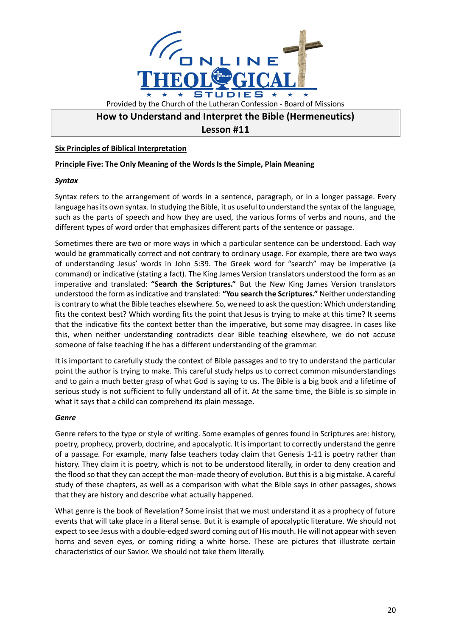

# **How to Understand and Interpret the Bible (Hermeneutics)**

## **Lesson #11**

### **Six Principles of Biblical Interpretation**

#### **Principle Five: The Only Meaning of the Words Is the Simple, Plain Meaning**

#### *Syntax*

Syntax refers to the arrangement of words in a sentence, paragraph, or in a longer passage. Every language has its own syntax. In studying the Bible, it us useful to understand the syntax of the language, such as the parts of speech and how they are used, the various forms of verbs and nouns, and the different types of word order that emphasizes different parts of the sentence or passage.

Sometimes there are two or more ways in which a particular sentence can be understood. Each way would be grammatically correct and not contrary to ordinary usage. For example, there are two ways of understanding Jesus' words in John 5:39. The Greek word for "search" may be imperative (a command) or indicative (stating a fact). The King James Version translators understood the form as an imperative and translated: **"Search the Scriptures."** But the New King James Version translators understood the form as indicative and translated: **"You search the Scriptures."** Neither understanding is contrary to what the Bible teaches elsewhere. So, we need to ask the question: Which understanding fits the context best? Which wording fits the point that Jesus is trying to make at this time? It seems that the indicative fits the context better than the imperative, but some may disagree. In cases like this, when neither understanding contradicts clear Bible teaching elsewhere, we do not accuse someone of false teaching if he has a different understanding of the grammar.

It is important to carefully study the context of Bible passages and to try to understand the particular point the author is trying to make. This careful study helps us to correct common misunderstandings and to gain a much better grasp of what God is saying to us. The Bible is a big book and a lifetime of serious study is not sufficient to fully understand all of it. At the same time, the Bible is so simple in what it says that a child can comprehend its plain message.

#### *Genre*

Genre refers to the type or style of writing. Some examples of genres found in Scriptures are: history, poetry, prophecy, proverb, doctrine, and apocalyptic. It is important to correctly understand the genre of a passage. For example, many false teachers today claim that Genesis 1-11 is poetry rather than history. They claim it is poetry, which is not to be understood literally, in order to deny creation and the flood so that they can accept the man-made theory of evolution. But this is a big mistake. A careful study of these chapters, as well as a comparison with what the Bible says in other passages, shows that they are history and describe what actually happened.

What genre is the book of Revelation? Some insist that we must understand it as a prophecy of future events that will take place in a literal sense. But it is example of apocalyptic literature. We should not expect to see Jesus with a double-edged sword coming out of His mouth. He will not appear with seven horns and seven eyes, or coming riding a white horse. These are pictures that illustrate certain characteristics of our Savior. We should not take them literally.